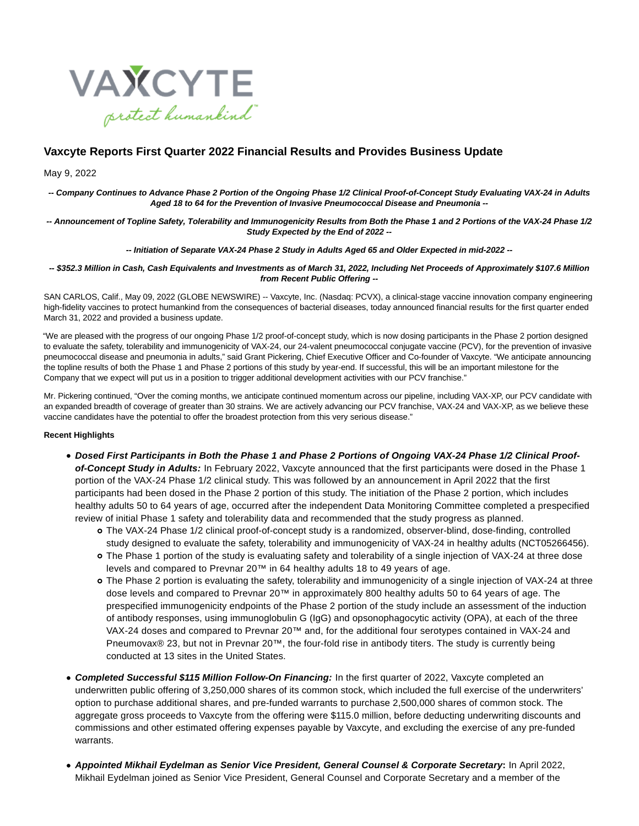

# **Vaxcyte Reports First Quarter 2022 Financial Results and Provides Business Update**

#### May 9, 2022

**-- Company Continues to Advance Phase 2 Portion of the Ongoing Phase 1/2 Clinical Proof-of-Concept Study Evaluating VAX-24 in Adults Aged 18 to 64 for the Prevention of Invasive Pneumococcal Disease and Pneumonia --**

**-- Announcement of Topline Safety, Tolerability and Immunogenicity Results from Both the Phase 1 and 2 Portions of the VAX-24 Phase 1/2 Study Expected by the End of 2022 --**

**-- Initiation of Separate VAX-24 Phase 2 Study in Adults Aged 65 and Older Expected in mid-2022 --**

#### **-- \$352.3 Million in Cash, Cash Equivalents and Investments as of March 31, 2022, Including Net Proceeds of Approximately \$107.6 Million from Recent Public Offering --**

SAN CARLOS, Calif., May 09, 2022 (GLOBE NEWSWIRE) -- Vaxcyte, Inc. (Nasdaq: PCVX), a clinical-stage vaccine innovation company engineering high-fidelity vaccines to protect humankind from the consequences of bacterial diseases, today announced financial results for the first quarter ended March 31, 2022 and provided a business update.

"We are pleased with the progress of our ongoing Phase 1/2 proof-of-concept study, which is now dosing participants in the Phase 2 portion designed to evaluate the safety, tolerability and immunogenicity of VAX-24, our 24-valent pneumococcal conjugate vaccine (PCV), for the prevention of invasive pneumococcal disease and pneumonia in adults," said Grant Pickering, Chief Executive Officer and Co-founder of Vaxcyte. "We anticipate announcing the topline results of both the Phase 1 and Phase 2 portions of this study by year-end. If successful, this will be an important milestone for the Company that we expect will put us in a position to trigger additional development activities with our PCV franchise."

Mr. Pickering continued, "Over the coming months, we anticipate continued momentum across our pipeline, including VAX-XP, our PCV candidate with an expanded breadth of coverage of greater than 30 strains. We are actively advancing our PCV franchise, VAX-24 and VAX-XP, as we believe these vaccine candidates have the potential to offer the broadest protection from this very serious disease."

#### **Recent Highlights**

- **Dosed First Participants in Both the Phase 1 and Phase 2 Portions of Ongoing VAX-24 Phase 1/2 Clinical Proofof-Concept Study in Adults:** In February 2022, Vaxcyte announced that the first participants were dosed in the Phase 1 portion of the VAX-24 Phase 1/2 clinical study. This was followed by an announcement in April 2022 that the first participants had been dosed in the Phase 2 portion of this study. The initiation of the Phase 2 portion, which includes healthy adults 50 to 64 years of age, occurred after the independent Data Monitoring Committee completed a prespecified review of initial Phase 1 safety and tolerability data and recommended that the study progress as planned.
	- The VAX-24 Phase 1/2 clinical proof-of-concept study is a randomized, observer-blind, dose-finding, controlled study designed to evaluate the safety, tolerability and immunogenicity of VAX-24 in healthy adults (NCT05266456).
	- The Phase 1 portion of the study is evaluating safety and tolerability of a single injection of VAX-24 at three dose levels and compared to Prevnar 20™ in 64 healthy adults 18 to 49 years of age.
	- The Phase 2 portion is evaluating the safety, tolerability and immunogenicity of a single injection of VAX-24 at three dose levels and compared to Prevnar 20™ in approximately 800 healthy adults 50 to 64 years of age. The prespecified immunogenicity endpoints of the Phase 2 portion of the study include an assessment of the induction of antibody responses, using immunoglobulin G (IgG) and opsonophagocytic activity (OPA), at each of the three VAX-24 doses and compared to Prevnar 20™ and, for the additional four serotypes contained in VAX-24 and Pneumovax® 23, but not in Prevnar 20™, the four-fold rise in antibody titers. The study is currently being conducted at 13 sites in the United States.
- **Completed Successful \$115 Million Follow-On Financing:** In the first quarter of 2022, Vaxcyte completed an underwritten public offering of 3,250,000 shares of its common stock, which included the full exercise of the underwriters' option to purchase additional shares, and pre-funded warrants to purchase 2,500,000 shares of common stock. The aggregate gross proceeds to Vaxcyte from the offering were \$115.0 million, before deducting underwriting discounts and commissions and other estimated offering expenses payable by Vaxcyte, and excluding the exercise of any pre-funded warrants.
- **Appointed Mikhail Eydelman as Senior Vice President, General Counsel & Corporate Secretary:** In April 2022, Mikhail Eydelman joined as Senior Vice President, General Counsel and Corporate Secretary and a member of the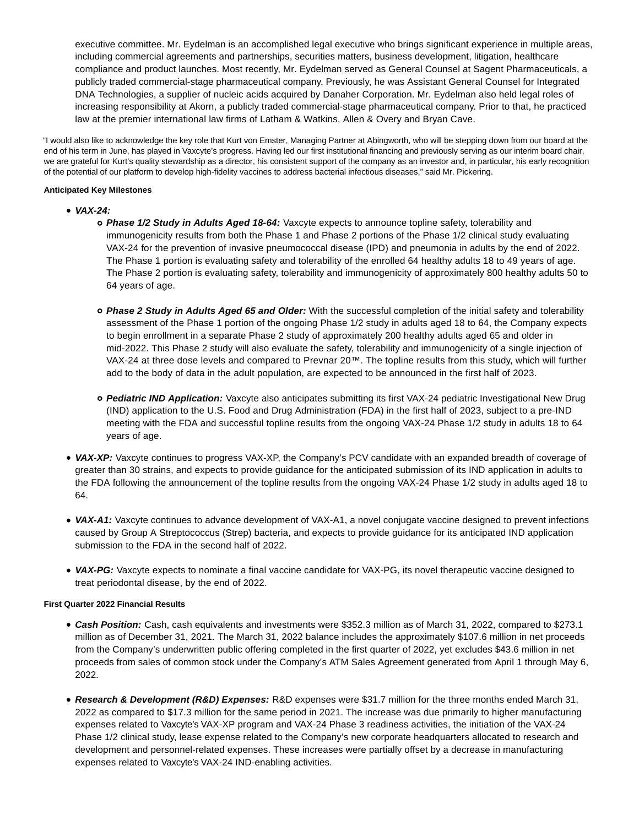executive committee. Mr. Eydelman is an accomplished legal executive who brings significant experience in multiple areas, including commercial agreements and partnerships, securities matters, business development, litigation, healthcare compliance and product launches. Most recently, Mr. Eydelman served as General Counsel at Sagent Pharmaceuticals, a publicly traded commercial-stage pharmaceutical company. Previously, he was Assistant General Counsel for Integrated DNA Technologies, a supplier of nucleic acids acquired by Danaher Corporation. Mr. Eydelman also held legal roles of increasing responsibility at Akorn, a publicly traded commercial-stage pharmaceutical company. Prior to that, he practiced law at the premier international law firms of Latham & Watkins, Allen & Overy and Bryan Cave.

"I would also like to acknowledge the key role that Kurt von Emster, Managing Partner at Abingworth, who will be stepping down from our board at the end of his term in June, has played in Vaxcyte's progress. Having led our first institutional financing and previously serving as our interim board chair, we are grateful for Kurt's quality stewardship as a director, his consistent support of the company as an investor and, in particular, his early recognition of the potential of our platform to develop high-fidelity vaccines to address bacterial infectious diseases," said Mr. Pickering.

## **Anticipated Key Milestones**

- **VAX-24:**
	- **Phase 1/2 Study in Adults Aged 18-64:** Vaxcyte expects to announce topline safety, tolerability and immunogenicity results from both the Phase 1 and Phase 2 portions of the Phase 1/2 clinical study evaluating VAX-24 for the prevention of invasive pneumococcal disease (IPD) and pneumonia in adults by the end of 2022. The Phase 1 portion is evaluating safety and tolerability of the enrolled 64 healthy adults 18 to 49 years of age. The Phase 2 portion is evaluating safety, tolerability and immunogenicity of approximately 800 healthy adults 50 to 64 years of age.
	- **Phase 2 Study in Adults Aged 65 and Older:** With the successful completion of the initial safety and tolerability assessment of the Phase 1 portion of the ongoing Phase 1/2 study in adults aged 18 to 64, the Company expects to begin enrollment in a separate Phase 2 study of approximately 200 healthy adults aged 65 and older in mid-2022. This Phase 2 study will also evaluate the safety, tolerability and immunogenicity of a single injection of VAX-24 at three dose levels and compared to Prevnar 20™. The topline results from this study, which will further add to the body of data in the adult population, are expected to be announced in the first half of 2023.
	- **Pediatric IND Application:** Vaxcyte also anticipates submitting its first VAX-24 pediatric Investigational New Drug (IND) application to the U.S. Food and Drug Administration (FDA) in the first half of 2023, subject to a pre-IND meeting with the FDA and successful topline results from the ongoing VAX-24 Phase 1/2 study in adults 18 to 64 years of age.
- **VAX-XP:** Vaxcyte continues to progress VAX-XP, the Company's PCV candidate with an expanded breadth of coverage of greater than 30 strains, and expects to provide guidance for the anticipated submission of its IND application in adults to the FDA following the announcement of the topline results from the ongoing VAX-24 Phase 1/2 study in adults aged 18 to 64.
- **VAX-A1:** Vaxcyte continues to advance development of VAX-A1, a novel conjugate vaccine designed to prevent infections caused by Group A Streptococcus (Strep) bacteria, and expects to provide guidance for its anticipated IND application submission to the FDA in the second half of 2022.
- **VAX-PG:** Vaxcyte expects to nominate a final vaccine candidate for VAX-PG, its novel therapeutic vaccine designed to treat periodontal disease, by the end of 2022.

# **First Quarter 2022 Financial Results**

- **Cash Position:** Cash, cash equivalents and investments were \$352.3 million as of March 31, 2022, compared to \$273.1 million as of December 31, 2021. The March 31, 2022 balance includes the approximately \$107.6 million in net proceeds from the Company's underwritten public offering completed in the first quarter of 2022, yet excludes \$43.6 million in net proceeds from sales of common stock under the Company's ATM Sales Agreement generated from April 1 through May 6, 2022.
- **Research & Development (R&D) Expenses:** R&D expenses were \$31.7 million for the three months ended March 31, 2022 as compared to \$17.3 million for the same period in 2021. The increase was due primarily to higher manufacturing expenses related to Vaxcyte's VAX-XP program and VAX-24 Phase 3 readiness activities, the initiation of the VAX-24 Phase 1/2 clinical study, lease expense related to the Company's new corporate headquarters allocated to research and development and personnel-related expenses. These increases were partially offset by a decrease in manufacturing expenses related to Vaxcyte's VAX-24 IND-enabling activities.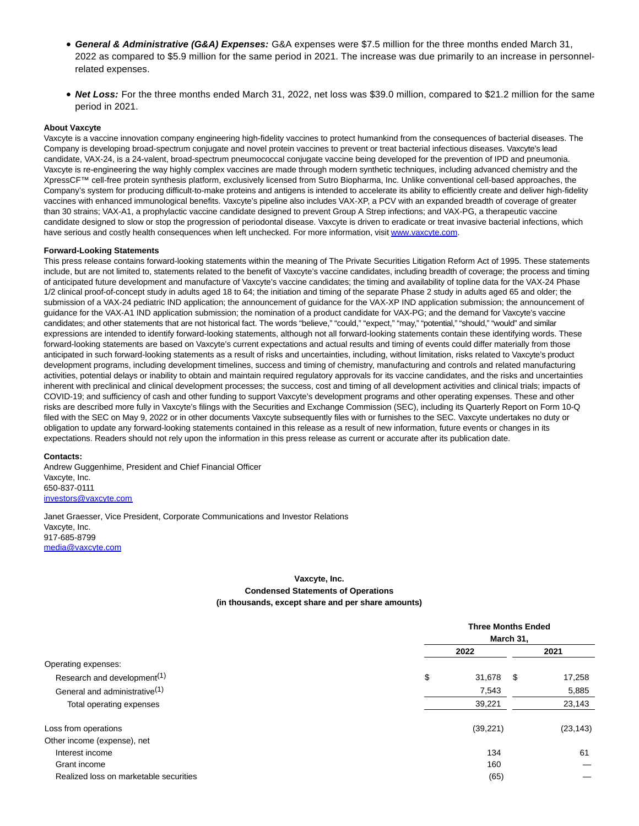- **General & Administrative (G&A) Expenses:** G&A expenses were \$7.5 million for the three months ended March 31, 2022 as compared to \$5.9 million for the same period in 2021. The increase was due primarily to an increase in personnelrelated expenses.
- **Net Loss:** For the three months ended March 31, 2022, net loss was \$39.0 million, compared to \$21.2 million for the same period in 2021.

#### **About Vaxcyte**

Vaxcyte is a vaccine innovation company engineering high-fidelity vaccines to protect humankind from the consequences of bacterial diseases. The Company is developing broad-spectrum conjugate and novel protein vaccines to prevent or treat bacterial infectious diseases. Vaxcyte's lead candidate, VAX-24, is a 24-valent, broad-spectrum pneumococcal conjugate vaccine being developed for the prevention of IPD and pneumonia. Vaxcyte is re-engineering the way highly complex vaccines are made through modern synthetic techniques, including advanced chemistry and the XpressCF™ cell-free protein synthesis platform, exclusively licensed from Sutro Biopharma, Inc. Unlike conventional cell-based approaches, the Company's system for producing difficult-to-make proteins and antigens is intended to accelerate its ability to efficiently create and deliver high-fidelity vaccines with enhanced immunological benefits. Vaxcyte's pipeline also includes VAX-XP, a PCV with an expanded breadth of coverage of greater than 30 strains; VAX-A1, a prophylactic vaccine candidate designed to prevent Group A Strep infections; and VAX-PG, a therapeutic vaccine candidate designed to slow or stop the progression of periodontal disease. Vaxcyte is driven to eradicate or treat invasive bacterial infections, which have serious and costly health consequences when left unchecked. For more information, visit [www.vaxcyte.com.](https://www.globenewswire.com/Tracker?data=0WA9CdBgJqxsxTHLtNZ3ij_grH4q_rHBoqK5FQGH8a1y804MTGY9ymmjKHsjQCuN8TS-NZZFdWCIYCVlUU6E-Q==)

#### **Forward-Looking Statements**

This press release contains forward-looking statements within the meaning of The Private Securities Litigation Reform Act of 1995. These statements include, but are not limited to, statements related to the benefit of Vaxcyte's vaccine candidates, including breadth of coverage; the process and timing of anticipated future development and manufacture of Vaxcyte's vaccine candidates; the timing and availability of topline data for the VAX-24 Phase 1/2 clinical proof-of-concept study in adults aged 18 to 64; the initiation and timing of the separate Phase 2 study in adults aged 65 and older; the submission of a VAX-24 pediatric IND application; the announcement of guidance for the VAX-XP IND application submission; the announcement of guidance for the VAX-A1 IND application submission; the nomination of a product candidate for VAX-PG; and the demand for Vaxcyte's vaccine candidates; and other statements that are not historical fact. The words "believe," "could," "expect," "may," "potential," "should," "would" and similar expressions are intended to identify forward-looking statements, although not all forward-looking statements contain these identifying words. These forward-looking statements are based on Vaxcyte's current expectations and actual results and timing of events could differ materially from those anticipated in such forward-looking statements as a result of risks and uncertainties, including, without limitation, risks related to Vaxcyte's product development programs, including development timelines, success and timing of chemistry, manufacturing and controls and related manufacturing activities, potential delays or inability to obtain and maintain required regulatory approvals for its vaccine candidates, and the risks and uncertainties inherent with preclinical and clinical development processes; the success, cost and timing of all development activities and clinical trials; impacts of COVID-19; and sufficiency of cash and other funding to support Vaxcyte's development programs and other operating expenses. These and other risks are described more fully in Vaxcyte's filings with the Securities and Exchange Commission (SEC), including its Quarterly Report on Form 10-Q filed with the SEC on May 9, 2022 or in other documents Vaxcyte subsequently files with or furnishes to the SEC. Vaxcyte undertakes no duty or obligation to update any forward-looking statements contained in this release as a result of new information, future events or changes in its expectations. Readers should not rely upon the information in this press release as current or accurate after its publication date.

#### **Contacts:**

Andrew Guggenhime, President and Chief Financial Officer Vaxcyte, Inc. 650-837-0111 [investors@vaxcyte.com](https://www.globenewswire.com/Tracker?data=Mm-itTIE1FramVKsPieAHfidDsgUpabHh3hPRHr2eWA8XSHGl5qwjEFI1p4uOTiLqgyVqBUXXiPEK1f-JnF8Ib4KfSvQRAFPhFzoEPiiLqk=)

Janet Graesser, Vice President, Corporate Communications and Investor Relations Vaxcyte, Inc. 917-685-8799 [media@vaxcyte.com](https://www.globenewswire.com/Tracker?data=XqQyGppMkIWAm730noB3HQqadttDCfJnxooGReUz6ds8pFfwHXgbdy0EhUvqjiE-af7NunSD2ReOzpDUAPo1_w==)

## **Vaxcyte, Inc. Condensed Statements of Operations (in thousands, except share and per share amounts)**

|                                           | <b>Three Months Ended</b><br>March 31, |      |           |  |
|-------------------------------------------|----------------------------------------|------|-----------|--|
|                                           | 2022                                   |      | 2021      |  |
| Operating expenses:                       |                                        |      |           |  |
| Research and development <sup>(1)</sup>   | \$<br>31,678                           | - \$ | 17,258    |  |
| General and administrative <sup>(1)</sup> | 7,543                                  |      | 5,885     |  |
| Total operating expenses                  | 39,221                                 |      | 23,143    |  |
| Loss from operations                      | (39, 221)                              |      | (23, 143) |  |
| Other income (expense), net               |                                        |      |           |  |
| Interest income                           | 134                                    |      | 61        |  |
| Grant income                              | 160                                    |      |           |  |
| Realized loss on marketable securities    | (65)                                   |      |           |  |